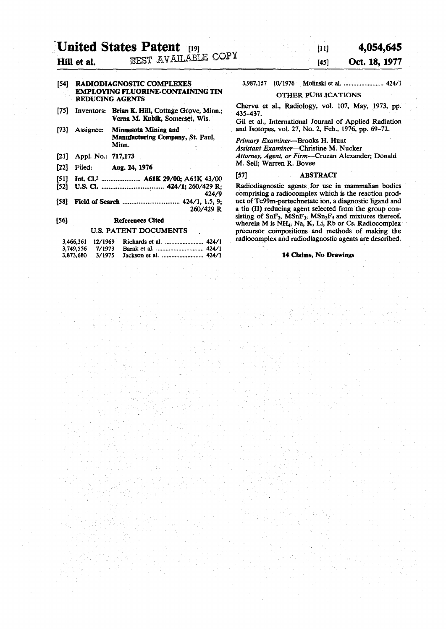# **United States Patent** [19] **1,054,645** *n* Hill et al. BEST AVAILABLE COPY  $^{[45]}$  Oct. 18, 1977

# [54] RADIODIAGNOSTIC COMPLEXES EMPLOYING FLUORINE-CONTAINING TIN REDUCING AGENTS

- [75] Inventors: Brian K. Hill, Cottage Grove, Minn.; Verna M. Kubik, Somerset, Wis.
- [73] Assignee: Minnesota Mining and Manufacturing Company, St. Paul, Minn.
- [21] Appl. No.: 717,173
- [22] Filed: Aug. 24,1976
- [51] Int. Cl.<sup>2</sup> ...................... A61K 29/00; A61K 43/00
- [52] U.S. a 424/1; 260/429 R;
- 424/9<br>424/1, 1.5, 9; [58] Field of Search ........................ 260/429 R

# [56] References Cited

# U.S. PATENT DOCUMENTS

| 3,466,361 12/1969 |  |  |
|-------------------|--|--|
| 3.749.556 7/1973  |  |  |
| 3,873,680         |  |  |

3,987,157 10/1976 Molinski et al. ........................... 424/1

## OTHER PUBLICATIONS

Chervu et al., Radiology, vol. 107, May, 1973, pp. 435-437.

Gil et al., International Journal of Applied Radiation and Isotopes, vol. 27, No. 2, Feb., 1976, pp. 69-72.

*Primary Examiner*—Brooks H. Hunt *Assistant Examiner—*Christine M. Nucker *Attorney, Agent, or Firm*—Cruzan Alexander; Donald M. Sell; Warren R. Bovee

### [57] ABSTRACT

Radiodiagnostic agents for use in mammalian bodies comprising a radiocomplex which is the reaction product of Tc99m-pertechnetate ion, a diagnostic ligand and a tin (II) reducing agent selected from the group consisting of  $SnF_2$ ,  $MSnF_3$ ,  $MSn_2F_5$  and mixtures thereof, wherein M is NH4, Na, K, Li, Rb or Cs. Radiocomplex precursor compositions and methods of making the radiocomplex and radiodiagnostic agents are described.

# 14 Claims, No Drawings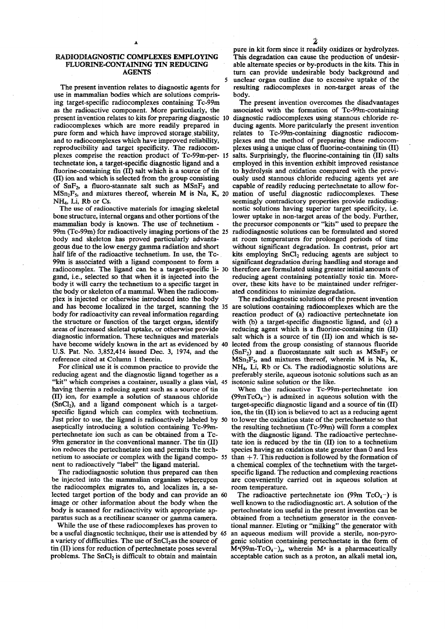# RADIODIAGNOSTIC COMPLEXES EMPLOYING FLUORINE-CONTAINING TIN REDUCING AGENTS

5

The present invention relates to diagnostic agents for use in mammalian bodies which are solutions comprising target-specific radiocomplexes containing Tc-99m as the radioactive component. More particularly, the present invention relates to kits for preparing diagnostic 10 diagnostic radiocomplexes using stannous chloride reradiocomplexes which are more readily prepared in pure form and which have improved storage, stability, and to radiocomplexes which have improved reliability, reproducibility and target specificity. The radiocomplexes comprise the reaction product of Tc-99m-per- 15 technetate ion, a target-specific diagnostic ligand and a fluorine-containing tin (II) salt which is a source of tin (II) ion and which is selected from the group consisting of  $SnF_2$ , a fluoro-stannate salt such as  $MSnF_3$  and  $MSn_2F_5$ , and mixtures thereof, wherein M is Na, K, 20 mation of useful diagnostic radiocomplexes. These NH4, Li, Rb or Cs.

The use of radioactive materials for imaging skeletal bone structure, internal organs and other portions of the mammalian body is known. The use of technetium - 99m (Tc-99m) for radioactively imaging portions of the 25 body and skeleton has proved particularly advantageous due to the low energy gamma radiation and short half life of the radioactive technetium. In use, the Tc-99m is associated with a ligand component to form a radiocomplex. The ligand can be a target-specific li- 30 gand, i.e., selected so that when it is injected into the body it will carry the technetium to a specific target in the body or skeleton of a mammal. When the radiocomplex is injected or otherwise introduced into the body and has become localized in the target, scanning the 35 are solutions containing radiocomplexes which are the body for radioactivity can reveal information regarding the structure or function of the target organ, identify areas of increased skeletal uptake, or otherwise provide diagnostic information. These techniques and materials have become widely known in the art as evidenced by 40 U.S. Pat. No. 3,852,414 issued Dec. 3, 1974, and the reference cited at Column 1 therein.

For clinical use it is common practice to provide the reducing agent and the diagnostic ligand together as a "kit" which comprises a container, usually a glass vial, 45 having therein a reducing agent such as a source of tin (II) ion, for example a solution of stannous chloride  $(SnCl<sub>2</sub>)$ , and a ligand component which is a targetspecific ligand which can complex with technetium. Just prior to use, the ligand is radioactively labeled by 50 aseptically introducing a solution containing Tc-99mpertechnetate ion such as can be obtained from a Tc-99m generator in the conventional manner. The tin (II) ion reduces the pertechnetate ion and permits the technetium to associate or complex with the ligand compo- 55 nent to radioactively "label" the ligand material.

The radiodiagnostic solution thus prepared can then be injected into the mammalian organism whereupon the radiocomplex migrates to, and localizes in, a selected target portion of the body and can provide an 60 image or other information about the body when the body is scanned for radioactivity with appropriate apparatus such as a rectilinear scanner or gamma camera.

While the use of these radiocomplexes has proven to be a useful diagnostic technique, their use is attended by 65 a variety of difficulties. The use of  $SnCl<sub>2</sub>$  as the source of tin (II) ions for reduction of pertechnetate poses several problems. The SnCl<sub>2</sub> is difficult to obtain and maintain

pure in kit form since it readily oxidizes or hydrolyzes. This degradation can cause the production of undesirable alternate species or by-products in the kits. This in turn can provide undesirable body background and unclear organ outline due to excessive uptake of the resulting radiocomplexes in non-target areas of the body.

The present invention overcomes the disadvantages associated with the formation of Tc-99m-containing ducing agents. More paritcularly the present invention relates to Tc-99m-containing diagnostic radiocomplexes and the method of preparing these radiocomplexes using a unique class of fluorine-containing tin (II) salts. Surprisingly, the fluorine-containing tin (II) salts employed in this invention exhibit improved resistance to hydrolysis and oxidation compared with the previously used stannous chloride reducing agents yet are capable of readily reducing pertechnetate to allow forseemingly contradictory properties provide radiodiagnostic solutions having superior target specificity, i.e. lower uptake in non-target areas of the body. Further, the precursor components or "kits" used to prepare the radiodiagnostic solutions can be formulated and stored at room temperatures for prolonged periods of time without significant degradation. In contrast, prior art kits employing  $SnCl<sub>2</sub>$  reducing agents are subject to significant degradation during handling and storage and therefore are formulated using greater initial amounts of reducing agent containing potentially toxic tin. Moreover, these kits have to be maintained under refrigerated conditions to minimize degradation.

The radiodiagnostic solutions of the present invention reaction product of (a) radioactive pertechnetate ion with (b) a target-specific diagnostic ligand, and (c) a reducing agent which is a fluorine-containing tin (II) salt which is a source of tin (II) ion and which is selected from the group consisting of stannous fluoride  $(SnF_2)$  and a fluorostannate salt such as MSnF<sub>3</sub> or  $MSn_2F_5$ , and mixtures thereof, wherein M is Na, K, NH4, Li, Rb or Cs. The radiodiagnostic solutions are preferably sterile, aqueous isotonic solutions such as an isotonic saline solution or the like.

When the radioactive Tc-99m-pertechnetate ion (99mTcO<sub>4</sub> $-$ ) is admixed in aqueous solution with the target-specific diagnostic ligand and a source of tin (II) ion, the tin (II) ion is believed to act as a reducing agent to lower the oxidation state of the pertechnetate so that the resulting technetium (Tc-99m) will form a complex with the diagnostic ligand. The radioactive pertechnetate ion is reduced by the tin (II) ion to a technetium species having an oxidation state greater than 0 and less than  $+7$ . This reduction is followed by the formation of a chemical complex of the technetium with the targetspecific ligand. The reduction and complexing reactions are conveniently carried out in aqueous solution at room temperature.

The radioactive pertechnetate ion (99m  $TcO<sub>4</sub>$ ) is well known to the radiodiagnostic art. A solution of the pertechnetate ion useful in the present invention can be obtained from a technetium generator in the conventional manner. Eluting or "milking" the generator with an aqueous medium will provide a sterile, non-pyrogenic solution containing pertechnetate in the form of  $\overline{M}$ <sup>x</sup>(99m-TcO<sub>4</sub>-)<sub>x</sub>, wherein M<sup>x</sup> is a pharmaceutically acceptable cation such as a proton, an alkali metal ion,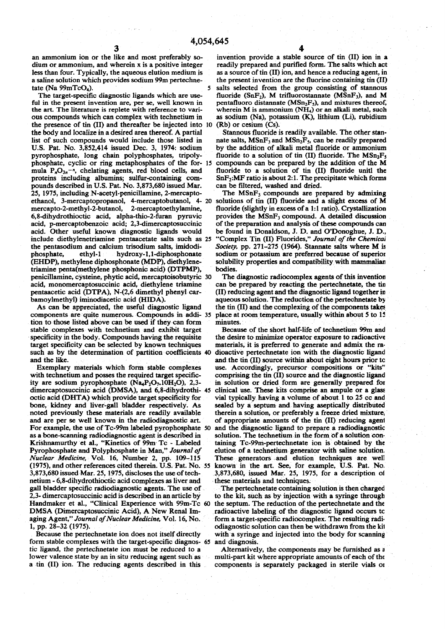an ammonium ion or the like and most preferably so- invention provide a stable source of tin (II) ion in a dium or ammonium, and wherein x is a positive integer readily prepared and purified form. The salts which act less than four. Typically, the aqueous elution medium is as a source of tin (II) ion, and hence a reducing agent, in a saline solution which provides sodium 99m pertechne-<br>the present invention are the fluorine containing a saline solution which provides sodium 99m pertechne-

ful in the present invention are, per se, well known in the art. The literature is replete with reference to varithe art. The literature is replete with reference to vari-<br>ous compounds which can complex with technetium in as sodium (Na), potassium (K), lithium (Li), rubidium the presence of tin (II) and thereafter be injected into 10 (Rb) or cesium (Cs).<br>the body and localize in a desired area thereof. A partial Stannous fluoride is readily available. The other stanthe body and localize in a desired area thereof. A partial list of such compounds would include those listed in list of such compounds would include those listed in nate salts,  $MSnF_3$  and  $MSn_2F_5$ , can be readily prepared U.S. Pat. No. 3,852,414 issued Dec. 3, 1974: sodium by the addition of alkali metal fluoride or ammonium pyrophosphate, long chain polyphosphates, tripoly-<br>phosphate to a solution of tin (II) fluoride. The MSn<sub>2</sub>F<sub>3</sub><br>phosphate, cyclic or ring metaphosphates of the for-15 compounds can be prepared by the addition of the M phosphate, cyclic or ring metaphosphates of the for- 15 compounds can be prepared by the addition of the M mula  $P_nO_{3n}$ <sup>-n</sup>, chelating agents, red blood cells, and fluoride to a solution of tin (II) fluoride unitl the mula  $P_nO_{3n}^{-n}$ , chelating agents, red blood cells, and proteins including albumins; sulfur-containing compounds described in U.S. Pat. No. 3,873,680 issued Mar.<br>25, 1975, including N-acetyl-penicillamine, 2-mercaptoethanol, 3-mercaptopropanol, 4-mercaptobutanol, 4- 20 mercapto-2-methyl-2-butanol, 2-mercaptoethylamine, mercapto-2-methyl-2-butanol, 2-mercaptoethylamine, fluoride (slightly in excess of a 1:1 ratio). Crystallization 6,8-dihydrothioctic acid, alpha-thio-2-furan pyruvic provides the MSnF<sub>3</sub> compound. A detailed discussion acid, p-mercaptobenzoic acid; 2,3-dimercaptosuccinic acid. Other useful known diagnostic ligands would acid. Other useful known diagnostic ligands would be found in Donaldson, J. D. and O'Donoghue, J. D., include diethylenetriamine pentaacetate salts such as 25 "Complex Tin (II) Fluorides," Journal of the Chemical the pentasodium and calcium trisodium salts, imidodi-<br>
society, pp. 271–275 (1964). Stannate salts where M is<br>
phosphate, ethyl-1 hydroxy-1,1-diphosphonate sodium or potassium are preferred because of superior phosphate, ethyl-1 hydroxy-1,1-diphosphonate sodium or potassium are preferred because of superior (EHDP), methylene diphosphonate (MDP), diethylene- solubility properties and compatibility with mammalian triamine penta(methylene phosphonic acid) (DTPMP), bodies.<br>
penicillamine, cysteine, phytic acid, mercaptoisobutyric 30 The diagnostic radiocomplex agents of this invention penicillamine, cysteine, phytic acid, mercaptoisobutyric 30 acid, monomercaptosuccinic acid, diethylene triamine can be prepared by reacting the pertechnetate, the tin pentaacetic acid (DTPA), N-(2,6 dimethyl phenyl car- (II) reducing agent and the diagnostic ligand together in pentaacetic acid (DTPA), N-(2,6 dimethyl phenyl car- (II) reducing agent and the diagnostic ligand together in<br>bamoylmethyl) iminodiacetic acid (HIDA). aqueous solution. The reduction of the pertechnetate by

tion to those listed above can be used if they can form minutes.<br>
stable complexes with technetium and exhibit target Because of the short half-life of technetium 99m and stable complexes with technetium and exhibit target specificity in the body. Compounds having the requisite the desire to minimize operator exposure to radioactive target specificity can be selected by known techniques materials, it is preferred to generate and admix the ra such as by the determination of partition coefficients 40

with technetium and posses the required target specific-<br>ity are sodium pyrophosphate  $(Na_4P_2O_7, 10H_2O)$ , 2,3- in solution or dried form are generally prepared for ity are sodium pyrophosphate  $(Na_4P_2O_7.10H_2O)$ , 2,3- in solution or dried form are generally prepared for dimercaptosuccinic acid (DMSA), and 6,8-dihydrothi- 45 clinical use. These kits comprise an ampule or a glass dimercaptosuccinic acid (DMSA), and 6,8-dihydrothi- 45 octic acid (DHTA) which provide target specificity for vial typically having a volume of about 1 to 25 cc and<br>bone, kidney and liver-gall bladder respectively. As sealed by a septum and having aseptically distributed noted previously these materials are readily available and are per se well known in the radiodiagnostic art. For example, the use of Tc-99m labeled pyrophosphate 50 as a bone-scanning radiodiagnostic agent is described in solution. The technetium in the form of a solution con-<br>Krishnamurthy et al., "Kinetics of 99m Tc - Labeled taining Tc-99m-pertechnetate ion is obtained by the Pyrophosphate and Polyphosphate in Man," *Journal of* elution of a technetium generator with saline solution. *Nuclear Medicine,* Vol. 16, Number 2, pp. 109-115 These generators and elution techniques are well 3,873,680 issued Mar. 25, 1975, discloses the use of tech- 3,873,680, issued Mar. 25, 1975, for a description ol netium - 6,8-dihydrothioctic acid complexes as liver and gall bladder specific radiodiagnostic agents. The use of The pertechnetate containing solution is then charged<br>2.3- dimercaptosuccinic acid is described in an article by to the kit, such as by injection with a syringe thro Handmaker et al., "Clinical Experience with 99m-Tc 60 the septum. The reduction of the pertechnetate and the DMSA (Dimercaptosuccinic Acid), A New Renal Im- radioactive labeling of the diagnostic ligand occurs tc aging Agent," Journal of Nuclear Medicine, Vol. 16, No. form a target-specific radiocomplex. The resulting radi-<br>1, pp. 28–32 (1975). collagnostic solution can then be withdrawn from the kit

form stable complexes with the target-specific diagnos- 65 and diagnosis. tic ligand, the pertechnetate ion must be reduced to a Alternatively, the components may be furnished as a lower valence state by an in situ reducing agent such as multi-part kit where appropriate amounts of each of the a tin (II) ion. The reducing agents described in this components is separately packaged in sterile vials 01

tate (Na  $99mTcO<sub>4</sub>$ ).<br>The target-specific diagnostic ligands which are use-<br>muoride (SnF<sub>2</sub>), M trifluorostannate (MSnF<sub>3</sub>), and M fluoride (SnF<sub>2</sub>), M trifluorostannate (MSnF<sub>3</sub>), and M pentafluoro distannate (MSn<sub>2</sub>F<sub>5</sub>), and mixtures thereof, as sodium (Na), potassium (K), lithium (Li), rubidium (Rb) or cesium (Cs).

> by the addition of alkali metal fluoride or ammonium fluoride to a solution of tin (II) fluoride. The  $MSn_2F_5$  $SnF<sub>2</sub>:MF ratio is about 2:1. The precipitate which forms can be filtered, washed and dried.$

> The  $MSnF_3$  compounds are prepared by admixing solutions of tin (II) fluoride and a slight excess of M provides the MSnF<sub>3</sub> compound. A detailed discussion of the preparation and analysis of these compounds can "Complex Tin (II) Fluorides," Journal of the Chemical solubility properties and compatibility with mammalian

aqueous solution. The reduction of the pertechnetate by As can be appreciated, the useful diagnostic ligand the tin (II) and the complexing of the components takes components are quite numerous. Compounds in addi- 35 place at room temperature, usually within about 5 to 15 place at room temperature, usually within about 5 to 15

materials, it is preferred to generate and admix the ra-<br>dioactive pertechnetate ion with the diagnostic ligand and the like.<br>
Exemplary materials which form stable complexes use. Accordingly, precursor compositions or "kits" use. Accordingly, precursor compositions or "kits" sealed by a septum and having aseptically distributed therein a solution, or preferably a freeze dried mixture, of appropriate amounts of the tin (II) reducing agent and the diagnostic ligand to prepare a radiodiagnostic taining Tc-99m-pertechnetate ion is obtained by the known in the art. See, for example, U.S. Pat. No.

to the kit, such as by injection with a syringe through 1, pp. 28-32 (1975).<br>
1, pp. 28-32 (1975). odiagnostic solution can then be withdrawn from the kit<br>
1, pecause the pertechnetate ion does not itself directly with a syringe and injected into the body for scanning with a syringe and injected into the body for scanning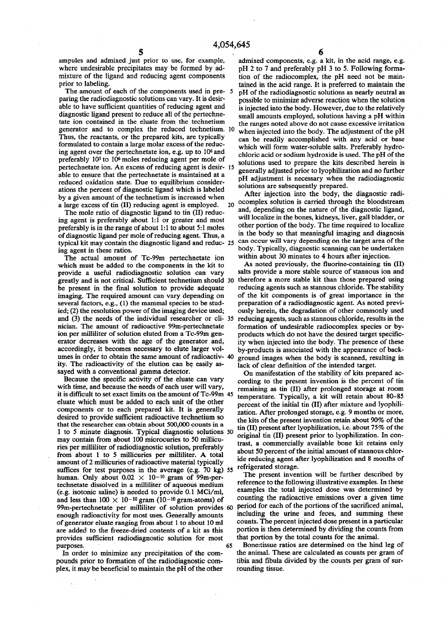ampules and admixed just prior to use, for example, where undesirable precipitates may be formed by admixture of the ligand and reducing agent components prior to labeling.

The amount of each of the components used in pre- 5 paring the radiodiagnostic solutions can vary. It is desirable to have sufficient quantities of reducing agent and diagnostic ligand present to reduce all of the pertechnetate ion contained in the eluate from the technetium generator and to complex the reduced technetium. 10 Thus, the reactants, or the prepared kits, are typically formulated to contain a large molar excess of the reducing agent over the pertechnetate ion, e.g. up to 10<sup>6</sup> and preferably 10<sup>5</sup> to 10<sup>6</sup> moles reducing agent per mole of pertechnetate ion. An excess of reducing agent is desir- 15 able to ensure that the pertechnetate is maintained at a reduced oxidation state. Due to equilibrium considerations the percent of diagnostic ligand which is labeled by a given amount of the technetium is increased when a large excess of tin (II) reducing agent is employed. 20

The mole ratio of diagnostic ligand to tin (II) reducing agent is preferably about 1:1 or greater and most preferably is in the range of about 1:1 to about 5:1 moles of diagnostic ligand per mole of reducing agent. Thus, a typical kit may contain the diagnostic ligand and reduc- 25 ing agent in these ratios.

The actual amount of Tc-99m pertechnetate ion which must be added to the components in the kit to provide a useful radiodiagnostic solution can vary greatly and is not critical. Sufficient technetium should 30 be present in the final solution to provide adequate imaging. The required amount can vary depending on several factors, e.g., (1) the mammal species to be studied; (2) the resolution power of the imaging device used; and (3) the needs of the individual researcher or cli- 35 nician. The amount of radioactive 99m-pertechnetate ion per milliliter of solution eluted from a Tc-99m generator decreases with the age of the generator and, accordingly, it becomes necessary to elute larger volumes in order to obtain the same amount of radioactiv- 40 ity. The radioactivity of the elution can be easily assayed with a conventional gamma detector.

Because the specific activity of the eluate can vary with time, and because the needs of each user will vary, it is difficult to set exact limits on the amount of Tc-99m 45 eluate which must be added to each unit of the other components or to each prepared kit. It is generally desired to provide sufficient radioactive technetium so that the researcher can obtain about 500,000 counts in a 1 to 5 minute diagnosis. Typical diagnostic solutions 50 may contain from about 100 microcuries to 50 millicuries per milliliter of radiodiagnostic solution, preferably from about 1 to 5 millicuries per milliliter. A total amount of 2 millicuries of radioactive material typically suffices for test purposes in the average (e.g. 70 kg) 55 human. Only about  $0.02 \times 10^{-10}$  gram of 99m-pertechnetate dissolved in a milliliter of aqueous medium (e.g. isotonic saline) is needed to provide 0.1 MCi/ml, and less than  $100 \times 10^{-10}$  gram (10-<sup>10</sup> gram-atoms) of 99m-pertechnetate per milliliter of solution provides 60 enough radioactivity for most uses. Generally amounts of generator eluate ranging from about 1 to about 10 ml are added to the freeze-dried contents of a kit as this provides sufficient radiodiagnostic solution for most purposes. 65

In order to minimize any precipitation of the compounds prior to formation of the radiodiagnostic complex, it may be beneficial to maintain the pH of the other **6** 

admixed components, e.g. a kit, in the acid range, e.g. pH 2 to 7 and preferably pH 3 to 5. Following formation of the radiocomplex, the pH need not be maintained in the acid range. It is preferred to maintain the pH of the radiodiagnostic solutions as nearly neutral as possible to minimize adverse reaction when the solution is injected into the body. However, due to the relatively small amounts employed, solutions having a pH within the ranges noted above do not cause excessive irritation when injected into the body. The adjustment of the pH can be readily accomplished with any acid or base which will form water-soluble salts. Preferably hydrochloric acid or sodium hydroxide is used. The pH of the solutions used to prepare the kits described herein is generally adjusted prior to lyophilization and no further pH adjustment is necessary when the radiodiagnostic solutions are subsequently prepared.

After injection into the body, the diagnostic radiocomplex solution is carried through the bloodstream and, depending on the nature of the diagnostic ligand, will localize in the bones, kidneys, liver, gall bladder, or other portion of the body. The time required to localize in the body so that meaningful imaging and diagnosis can occur will vary depending on the target area of the body. Typically, diagnostic scanning can be undertaken within about 30 minutes to 4 hours after injection.

As noted previously, the fluorine-containing tin (II) salts provide a more stable source of stannous ion and therefore a more stable kit than those prepared using reducing agents such as stannous chloride. The stability of the kit components is of great importance in the preparation of a radiodiagnostic agent. As noted previously herein, the degradation of other commonly used reducing agents, such as stannous chloride, results in the formation of undesirable radiocomplex species or byproducts which do not have the desired target specificity when injected into the body. The presence of these by-products is associated with the appearance of background images when the body is scanned, resulting in lack of clear definition of the intended target.

On manifestation of the stability of kits prepared according to the present invention is the percent of tin remaining as tin (II) after prolonged storage at room temperature. Typically, a kit will retain about 80-85 percent of the initial tin (II) after mixture and lyophilization. After prolonged storage, e.g. 9 months or more, the kits of the present invention retain about 90% of the tin (II) present after lyophilization, i.e. about 75% of the original tin (II) present prior to lyophilization. In contrast, a commercially available bone kit retains only about 50 percent of the initial amount of stannous chloride reducing agent after lyophilization and 8 months of refrigerated storage.

The present invention will be further described by reference to the following illustrative examples. In these examples the total injected dose was determined by counting the radioactive emissions over a given time period for each of the portions of the sacrificed animal, including the urine and feces, and summing these counts. The percent injected dose present in a particular portion is then determined by dividing the counts from that portion by the total counts for the animal.

Bone:tissue ratios are determined on the hind leg of the animal. These are calculated as counts per gram of tibia and fibula divided by the counts per gram of surrounding tissue.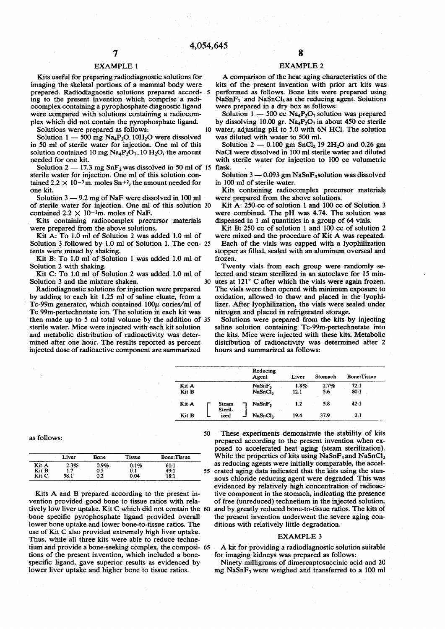# EXAMPLE 1

Kits useful for preparing radiodiagnostic solutions for imaging the skeletal portions of a mammal body were prepared. Radiodiagnostic solutions prepared accord- 5 ing to the present invention which comprise a radiocomplex containing a pyrophosphate diagnostic ligand were compared with solutions containing a radiocomplex which did not contain the pyrophosphate ligand.

Solutions were prepared as follows:

Solution  $1 - 500$  mg Na<sub>4</sub>P<sub>2</sub>O. 10H<sub>2</sub>O were dissolved in 50 ml of sterile water for injection. One ml of this solution contained 10 mg  $\text{Na}_4\text{P}_2\text{O}_7$ . 10 H<sub>2</sub>O, the amount needed for one kit.

Solution  $2 - 17.3$  mg  $SnF<sub>2</sub>$  was dissolved in 50 ml of 15 sterile water for injection. One ml of this solution contained 2.2  $\times$  10<sup>-3</sup>m. moles Sn<sup>+2</sup>, the amount needed for one kit.

Solution 3 — 9.2 mg of NaF were dissolved in 100 ml of sterile water for injection. One ml of this solution 20 contained  $2.2 \times 10^{-3}$ m. moles of NaF.

Kits containing radiocomplex precursor materials were prepared from the above solutions.

Kit A: To 1.0 ml of Solution 2 was added 1.0 ml of Solution 3 followed by 1.0 ml of Solution 1. The con- 25 tents were mixed by shaking.

Kit B: To 1.0 ml of Solution 1 was added 1.0 ml of Solution 2 with shaking.

Kit C: To 1.0 ml of Solution 2 was added 1.0 ml of Solution 3 and the mixture shaken. 30

Radiodiagnostic solutions for injection were prepared by adding to each kit 1.25 ml of saline eluate, from a Tc-99m generator, which contained  $100\mu$  curies/ml of Tc 99m-pertechnetate ion. The solution in each kit was then made up to 5 ml total volume by the addition of 35 sterile water. Mice were injected with each kit solution and metabolic distribution of radioactivity was determined after one hour. The results reported as percent injected dose of radioactive component are summarized

# EXAMPLE 2

A comparison of the heat aging characteristics of the kits of the present invention with prior art kits was performed as follows. Bone kits were prepared using  $NaSnF<sub>3</sub>$  and  $NaSnCl<sub>3</sub>$  as the reducing agent. Solutions were prepared in a dry box as follows:

Solution  $1 - 500$  cc Na<sub>4</sub>P<sub>2</sub>O<sub>7</sub> solution was prepared by dissolving 10.00 gr.  $Na_4P_2O_7$  in about 450 cc sterile water, adjusting pH to 5.0 with 6N HCl. The solution was diluted with water to 500 ml.

Solution  $2 - 0.100$  gm SnCl<sub>2</sub> 19 2H<sub>2</sub>O and 0.26 gm NaCl were dissolved in 100 ml sterile water and diluted with sterile water for injection to 100 cc volumetric flask.

Solution  $3 - 0.093$  gm NaSnF<sub>3</sub> solution was dissolved in 100 ml of sterile water.

Kits containing radiocomplex precursor materials were prepared from the above solutions.

Kit A: 250 cc of solution 1 and 100 cc of Solution 3 were combined. The pH was 4.74. The solution was dispensed in 1 ml quantities in a group of 64 vials.

Kit B: 250 cc of solution 1 and 100 cc of solution 2 were mixed and the procedure of Kit A was repeated.

Each of the vials was capped with a lyophilization stopper as filled, sealed with an aluminum overseal and frozen.

Twenty vials from each group were randomly selected and steam sterilized in an autoclave for 15 minutes at 121° C after which the vials were again frozen. The vials were then opened with minimum exposure to oxidation, allowed to thaw and placed in the lyophilizer. After lyophilization, the vials were sealed under nitrogen and placed in refrigerated storage.

Solutions were prepared from the kits by injecting saline solution containing Tc-99m-pertechnetate into the kits. Mice were injected with these kits. Metabolic distribution of radioactivity was determined after 2 hours and summarized as follows:

|       |                  | Reducing<br>Agent   | Liver | Stomach | <b>Bone:Tissue</b> |
|-------|------------------|---------------------|-------|---------|--------------------|
| Kit A |                  | NaSnF <sub>1</sub>  | 1.8%  | 2.7%    | 72:1               |
| Kit B |                  | NaSnCl <sub>1</sub> | .12.1 | 5.6     | 80:1               |
| Kit A | Steam<br>Steril- | NaSnF,              | 1.2   | 5.8     | 42:1               |
| Kit B | ized             | NaSnCl,             | 19.4  | 37.9    | 2:1                |

as follows:

|       | Liver | Bone    | Tissue | <b>Bone:Tissue</b> |    |
|-------|-------|---------|--------|--------------------|----|
| Kit A | 2.3%  | $0.9\%$ | 0.1%   | 61:1               |    |
| Kit B | 1.7   | 0.5     | 0.1    | 49:1               | 55 |
| Kit C | 58.1  | 0.2     | 0.04   | 18:1               |    |

Kits A and B prepared according to the present invention provided good bone to tissue ratios with relatively low liver uptake. Kit C which did not contain the 60 bone specific pyrophosphate ligand provided overall lower bone uptake and lower bone-to-tissue ratios. The use of Kit C also provided extremely high liver uptake. Thus, while all three kits were able to reduce technetium and provide a bone-seeking complex, the composi- 65 tions of the present invention, which included a bonespecific ligand, gave superior results as evidenced by lower liver uptake and higher bone to tissue ratios.

50 These experiments demonstrate the stability of kits prepared according to the present invention when exposed to accelerated heat aging (steam sterilization). While the properties of kits using  $NaSnF_3$  and  $NaSnCl_3$ as reducing agents were initially comparable, the accel-5 erated aging data indicated that the kits using the stannous chloride reducing agent were degraded. This was evidenced by relatively high concentration of radioactive component in the stomach, indicating the presence of free (unreduced) technetium in the injected solution, and by greatly reduced bone-to-tissue ratios. The kits of the present invention underwent the severe aging conditions with relatively little degradation.

### EXAMPLE 3

A kit for providing a radiodiagnostic solution suitable for imaging kidneys was prepared as follows:

Ninety milligrams of dimercaptosuccinic acid and 20 mg NaSnF3 were weighed and transferred to a 100 ml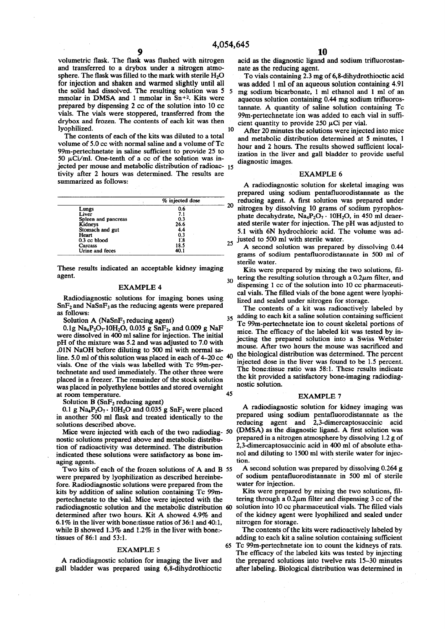volumetric flask. The flask was flushed with nitrogen and transferred to a drybox under a nitrogen atmosphere. The flask was filled to the mark with sterile  $H_2O$ for injection and shaken and warmed slightly until all the solid had dissolved. The resulting solution was 5 5 mmolar in DMSA and 1 mmolar in Sn+<sup>2</sup> . Kits were prepared by dispensing 2 cc of the solution into 10 cc vials. The vials were stoppered, transferred from the drybox and frozen. The contents of each kit was then lyophilized. 10

The contents of each of the kits was diluted to a total volume of 5.0 cc with normal saline and a volume of Tc 99m-pertechnetate in saline sufficient to provide 25 to 50  $\mu$ Ci/ml. One-tenth of a cc of the solution was injected per mouse and metabolic distribution of radioac- 15 tivity after 2 hours was determined. The results are summarized as follows:

|                     | % injected dose |    |
|---------------------|-----------------|----|
| Lungs               | 0.6             |    |
| Liver               | 7.1             |    |
| Spleen and pancreas | 0.3             |    |
| Kidneys             | 26.6            |    |
| Stomach and gut     | 4.4             |    |
| Heart               | 0.3             |    |
| 0.3 cc blood        | 1.8             |    |
| Carcass             | 18.5            | 25 |
| Urine and feces     | 40.1            |    |

These results indicated an acceptable kidney imaging agent.

#### EXAMPLE 4

Radiodiagnostic solutions for imaging bones using  $SnF<sub>2</sub>$  and NaSnF<sub>3</sub> as the reducing agents were prepared as follows:

Solution A ( $NaSnF<sub>3</sub>$  reducing agent)

0.1g Na<sub>4</sub>P<sub>2</sub>O<sub>7</sub>.10H<sub>2</sub>O, 0.035 g SnF<sub>2</sub>, and 0.009 g NaF were dissolved in 400 ml saline for injection. The initial pH of the mixture was 5.2 and was adjusted to 7.0 with .01N NaOH before diluting to 500 ml with normal saline. 5.0 ml of this solution was placed in each of 4-20 cc 40 vials. One of the vials was labelled with Tc 99m-pertechnetate and used immediately. The other three were placed in a freezer. The remainder of the stock solution was placed in polyethylene bottles and stored overnight at room temperature. 45

Solution B ( $SnF<sub>2</sub>$  reducing agent)

0.1 g  $Na_4P_2O_7 \cdot 10H_2O$  and 0.035 g  $SnF_2$  were placed in another 500 ml flask and treated identically to the solutions described above.

Mice were injected with each of the two radiodiag- 50 nostic solutions prepared above and metabolic distribution of radioactivity was determined. The distribution indicated these solutions were satisfactory as bone imaging agents.

Two kits of each of the frozen solutions of A and B 55 were prepared by lyophilization as described hereinbefore. Radiodiagnostic solutions were prepared from the kits by addition of saline solution containing Tc 99mpertechnetate to the vial. Mice were injected with the radiodiagnostic solution and the metabolic distribution 60 determined after two hours. Kit A showed 4.9% and 6.1 % in the liver with bone:tissue ratios of 36:1 and 40:1, while B showed 1.3% and 1.2% in the liver with bone:tissues of 86:1 and 53:1.

# EXAMPLE 5 65

A radiodiagnostic solution for imaging the liver and gall bladder was prepared using 6,8-dihydrothioctic acid as the diagnostic ligand and sodium trifluorostannate as the reducing agent.

To vials containing 2.3 mg of 6,8-dihydrothioctic acid was added 1 ml of an aqueous solution containing 4.91 mg sodium bicarbonate, 1 ml ethanol and 1 ml of an aqueous solution containing 0.44 mg sodium trifluorostannate. A quantity of saline solution containing Tc 99m-pertechnetate ion was added to each vial in sufficient quantity to provide 250  $\mu$ Ci per vial.

After 20 minutes the solutions were injected into mice and metabolic distribution determined at 5 minutes, 1 hour and 2 hours. The results showed sufficient localization in the liver and gall bladder to provide useful diagnostic images.

#### EXAMPLE 6

A radiodiagnostic solution for skeletal imaging was prepared using sodium pentafluorodistannate as the reducing agent. A first solution was prepared under nitrogen by dissolving 10 grams of sodium pyrophosphate decahydrate,  $Na_4P_2O_7 \cdot 10H_2O$ , in 450 ml deaerated sterile water for injection. The pH was adjusted to 5.1 with 6N hydrochloric acid. The volume was adjusted to 500 ml with sterile water.

A second solution was prepared by dissolving 0.44 grams of sodium pentafluorodistannate in 500 ml of sterile water.

 $30$  tering the resulting solution through a 0.2 $\mu$ m filter, and Kits were prepared by mixing the two solutions, fildispensing 1 cc of the solution into 10 cc pharmaceutical vials. The filled vials of the bone agent were lyophilized and sealed under nitrogen for storage.

35 The contents of a kit was radioactively labeled by adding to each kit a saline solution containing sufficient Tc 99m-pertechnetate ion to count skeletal portions of mice. The efficacy of the labeled kit was tested by injecting the prepared solution into a Swiss Webster mouse. After two hours the mouse was sacrificed and the biological distribution was determined. The percent injected dose in the liver was found to be 1.5 percent. The bone:tissue ratio was 58:1. These results indicate the kit provided a satisfactory bone-imaging radiodiagnostic solution.

# EXAMPLE 7

A radiodiagnostic solution for kidney imaging was prepared using sodium pentafluorodistannate as the reducing agent and 2,3-dimercaptosuccinic acid (DMSA) as the diagnostic ligand. A first solution was prepared in a nitrogen atmosphere by dissolving 1.2 g of 2,3-dimercaptosuccinic acid in 400 ml of absolute ethanol and diluting to 1500 ml with sterile water for injection.

A second solution was prepared by dissolving 0.264 g of sodium pentafluorodistannate in 500 ml of sterile water for injection.

Kits were prepared by mixing the two solutions, filtering through a  $0.2\mu$ m filter and dispensing 3 cc of the solution into 10 cc pharmaceutical vials. The filled vials of the kidney agent were lyophilized and sealed under nitrogen for storage.

The contents of the kits were radioactively labeled by adding to each kit a saline solution containing sufficient Tc 99m-pertechnetate ion to count the kidneys of rats. The efficacy of the labeled kits was tested by injecting the prepared solutions into twelve rats 15-30 minutes after labeling. Biological distribution was determined in